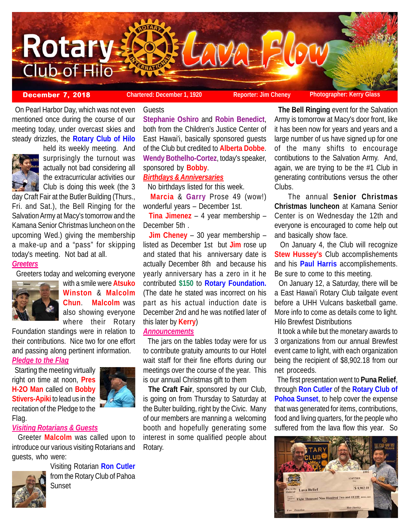

Guests

 On Pearl Harbor Day, which was not even mentioned once during the course of our meeting today, under overcast skies and steady drizzles, the **Rotary Club of Hilo**



surprisingly the turnout was actually not bad considering all the extracurricular activities our Club is doing this week (the 3 day Craft Fair at the Butler Building (Thurs.,

held its weekly meeting. And

Fri. and Sat.), the Bell Ringing for the Salvation Army at Macy's tomorrow and the Kamana Senior Christmas luncheon on the upcoming Wed.) giving the membership a make-up and a "pass" for skipping today's meeting. Not bad at all.

## *Greeters*



 Greeters today and welcoming everyone with a smile were **Atsuko Winston** & **Malcolm Chun**. **Malcolm** was also showing everyone where their Rotary

Foundation standings were in relation to their contributions. Nice two for one effort and passing along pertinent information.

#### *Pledge to the Flag*

 Starting the meeting virtually right on time at noon, **Pres H-2O Man** called on **Bobby Stivers-Apiki** to lead us in the recitation of the Pledge to the Flag.

#### *Visiting Rotarians & Guests*

 Greeter **Malcolm** was called upon to introduce our various visiting Rotarians and guests, who were:



Visiting Rotarian **Ron Cutler** from the Rotary Club of Pahoa **Sunset** 

**Stephanie Oshiro** and **Robin Benedict**, both from the Children's Justice Center of East Hawai'i, basically sponsored guests of the Club but credited to **Alberta Dobbe**. **Wendy Bothelho-Cortez**, today's speaker, sponsored by **Bobby**.

## *Birthdays & Anniversaries*

No birthdays listed for this week.

 **Marcia** & **Garry** Prose 49 (wow!) wonderful years – December 1st.

 **Tina Jimenez** – 4 year membership – December 5th .

 **Jim Cheney** – 30 year membership – listed as December 1st but **Jim** rose up and stated that his anniversary date is actually December 8th and because his yearly anniversary has a zero in it he contributed **\$150** to **Rotary Foundation.** (The date he stated was incorrect on his part as his actual induction date is December 2nd and he was notified later of this later by **Kerry**)

## *Announcements*

 The jars on the tables today were for us to contribute gratuity amounts to our Hotel wait staff for their fine efforts during our meetings over the course of the year. This is our annual Christmas gift to them

 **The Craft Fair**, sponsored by our Club, is going on from Thursday to Saturday at the Bulter building, right by the Civic. Many of our members are manning a welcoming booth and hopefully generating some interest in some qualified people about Rotary.

 **The Bell Ringing** event for the Salvation Army is tomorrow at Macy's door front, like it has been now for years and years and a large number of us have signed up for one of the many shifts to encourage contibutions to the Salvation Army. And, again, we are trying to be the #1 Club in generating contributions versus the other Clubs.

The annual **Senior Christmas Christmas luncheon** at Kamana Senior Center is on Wednesday the 12th and everyone is encouraged to come help out and basically show face.

 On January 4, the Club will recognize **Stew Hussey's** Club accomplishements and his **Paul Harris** accomplishements. Be sure to come to this meeting.

 On January 12, a Saturday, there will be a East Hawai'i Rotary Club tailgate event before a UHH Vulcans basketball game. More info to come as details come to light. Hilo Brewfest Distributions

 It took a while but the monetary awards to 3 organizations from our annual Brewfest event came to light, with each organization being the recipient of \$8,902.18 from our net proceeds.

 The first presentation went to **Puna Relief**, through **Ron Cutler** of the **Rotary Club of Pohoa Sunset**, to help cover the expense that was generated for items, contributions, food and living quarters, for the people who suffered from the lava flow this year. So

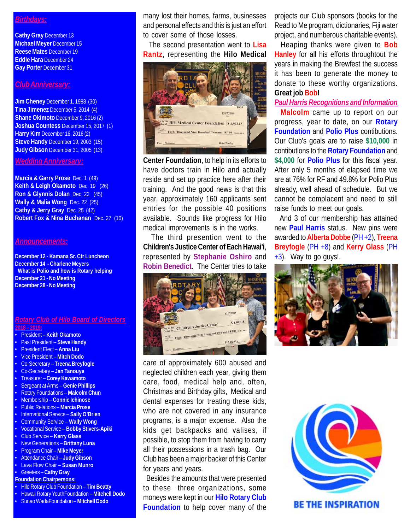# *Birthdays:*

**Cathy Gray** December 13 **Michael Meyer** December 15 **Reese Mates** December 19 **Eddie Hara** December 24 **Gay Porter** December 31

## *Club Anniversary:*

**Jim Cheney** December 1, 1988 (30) **Tina Jimenez** December 5, 2014 (4) **Shane Okimoto** December 9, 2016 (2) **Joshua Countess** December 15, 2017 (1) **Harry Kim** December 16, 2016 (2) **Steve Handy** December 19, 2003 (15) **Judy Gibson** December 31, 2005 (13)

## *Wedding Anniversary:*

**Marcia & Garry Prose** Dec. 1 (49) **Keith & Leigh Okamoto** Dec. 19 (26) **Ron & Glynnis Dolan** Dec. 22 (45) **Wally & Malia Wong** Dec. 22 (25) **Cathy & Jerry Gray** Dec. 25 (42) **Robert Fox & Nina Buchanan** Dec. 27 (10)

#### *Announcements:*

**December 12 - Kamana Sr. Ctr Luncheon December 14 - Charlene Meyers What is Polio and how is Rotary helping December 21 - No Meeting December 28 - No Meeting**

#### *Rotary Club of Hilo Board of Directors* **2018 – 2019:**

- President **Keith Okamoto**
- Past President **Steve Handy**
- President Elect **Anna Liu**
- Vice President **Mitch Dodo**
- Co-Secretary **Treena Breyfogle**
- Co-Secretary **Jan Tanouye**
- Treasurer **Corey Kawamoto**
- Sergeant at Arms – **Genie Phillips**
- Rotary Foundations **Malcolm Chun**
- Membership **Connie Ichinose**
- Public Relations **Marcia Prose**
- International Service **Sally O'Brien**
- Community Service **Wally Wong**
- Vocational Service **Bobby Stivers-Apiki**
- Club Service **Kerry Glass**
- New Generations **Brittany Luna** • Program Chair – **Mike Meyer**
- Attendance Chair **Judy Gibson**
- Lava Flow Chair **Susan Munro**
- Greeters **Cathy Gray**

#### **Foundation Chairpersons:**

- Hilo Rotary Club Foundation **Tim Beatty**
- Hawaii Rotary YouthFoundation **Mitchell Dodo**
- Sunao WadaFoundation **Mitchell Dodo**

many lost their homes, farms, businesses and personal effects and this is just an effort to cover some of those losses.

 The second presentation went to **Lisa Rantz**, representing the **Hilo Medical**



**Center Foundation**, to help in its efforts to have doctors train in Hilo and actually reside and set up practice here after their training. And the good news is that this year, approximately 160 applicants sent entries for the possible 40 positions available. Sounds like progress for Hilo medical improvements is in the works.

 The third presention went to the **Children's Justice Center of Each Hawai'i**, represented by **Stephanie Oshiro** and **Robin Benedict**. The Center tries to take



care of approximately 600 abused and neglected children each year, giving them care, food, medical help and, often, Christmas and Birthday gifts, Medical and dental expenses for treating these kids, who are not covered in any insurance programs, is a major expense. Also the kids get backpacks and valises, if possible, to stop them from having to carry all their possessions in a trash bag. Our Club has been a major backer of this Center for years and years.

 Besides the amounts that were presented to these three organizations, some moneys were kept in our **Hilo Rotary Club Foundation** to help cover many of the projects our Club sponsors (books for the Read to Me program, dictionaries, Fiji water project, and numberous charitable events).

 Heaping thanks were given to **Bob Hanley** for all his efforts throughtout the years in making the Brewfest the success it has been to generate the money to donate to these worthy organizations. **Great job Bob!**

# *Paul Harris Recognitions and Information*

 **Malcolm** came up to report on our progress, year to date, on our **Rotary Foundation** and **Polio Plus** contibutions. Our Club's goals are to raise **\$10,000** in contibutions to the **Rotary Foundation** and **\$4,000** for **Polio Plus** for this fiscal year. After only 5 months of elapsed time we are at 76% for RF and 49.8% for Polio Plus already, well ahead of schedule. But we cannot be complacent and need to still raise funds to meet our goals.

 And 3 of our membership has attained new **Paul Harris** status. New pins were awarded to **Alberta Dobbe** (PH +2), **Treena Breyfogle** (PH +8) and **Kerry Glass** (PH  $+3$ ). Way to go guys!.